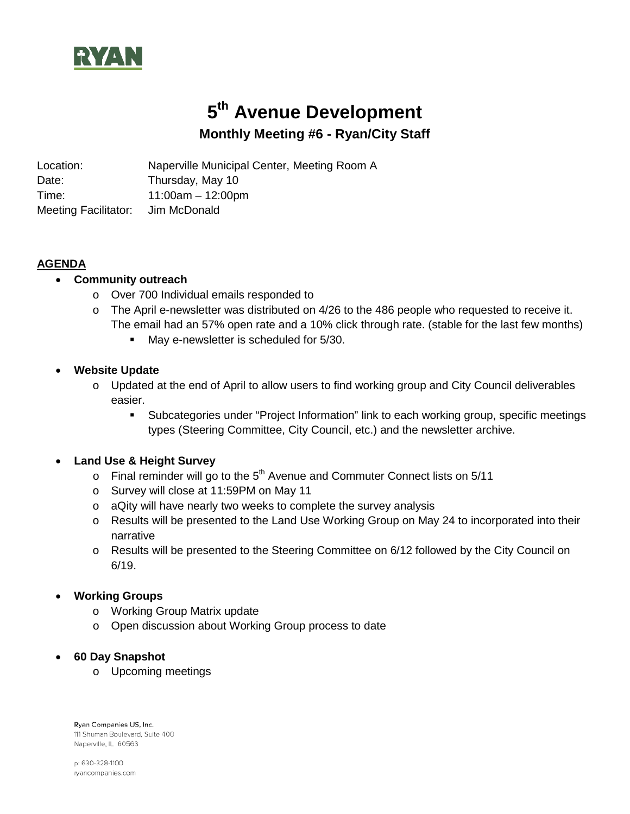

# **5th Avenue Development Monthly Meeting #6 - Ryan/City Staff**

Location: Naperville Municipal Center, Meeting Room A Date: Thursday, May 10 Time: 11:00am – 12:00pm Meeting Facilitator: Jim McDonald

## **AGENDA**

- **Community outreach**
	- o Over 700 Individual emails responded to
	- $\circ$  The April e-newsletter was distributed on 4/26 to the 486 people who requested to receive it. The email had an 57% open rate and a 10% click through rate. (stable for the last few months)
		- May e-newsletter is scheduled for 5/30.

### • **Website Update**

- o Updated at the end of April to allow users to find working group and City Council deliverables easier.
	- Subcategories under "Project Information" link to each working group, specific meetings types (Steering Committee, City Council, etc.) and the newsletter archive.

#### • **Land Use & Height Survey**

- $\circ$  Final reminder will go to the 5<sup>th</sup> Avenue and Commuter Connect lists on 5/11
- o Survey will close at 11:59PM on May 11
- o aQity will have nearly two weeks to complete the survey analysis
- $\circ$  Results will be presented to the Land Use Working Group on May 24 to incorporated into their narrative
- o Results will be presented to the Steering Committee on 6/12 followed by the City Council on 6/19.

#### • **Working Groups**

- o Working Group Matrix update
- o Open discussion about Working Group process to date

#### • **60 Day Snapshot**

o Upcoming meetings

Ryan Companies US, Inc. 111 Shuman Boulevard, Suite 400 Naperville, IL 60563

p: 630-328-1100 rvancompanies.com